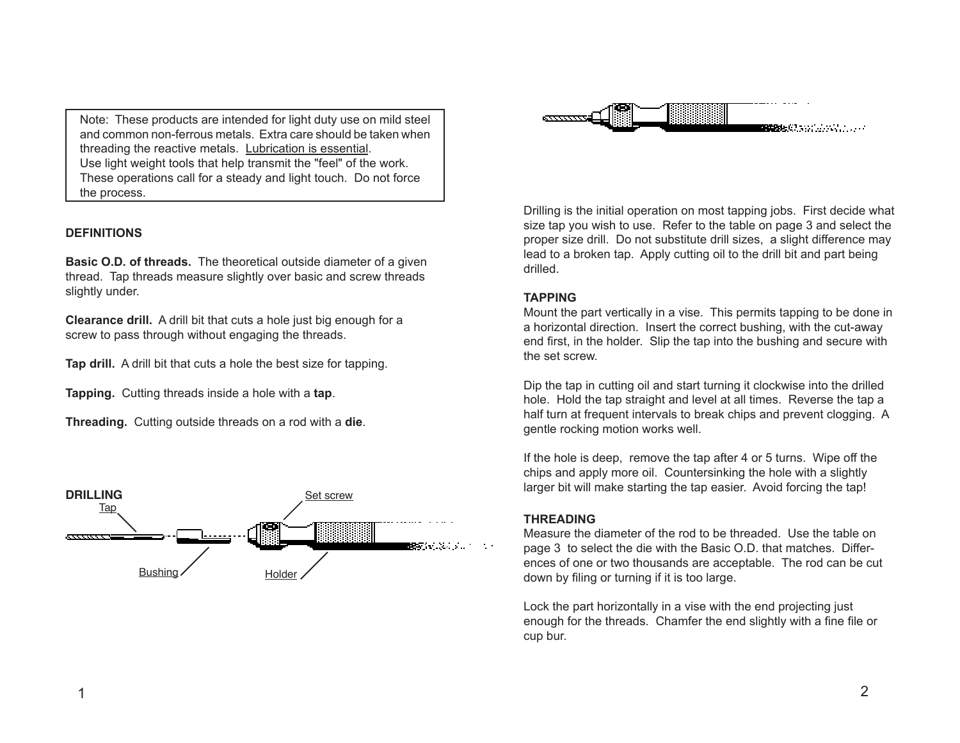Note: These products are intended for light duty use on mild steel and common non-ferrous metals. Extra care should be taken when threading the reactive metals. Lubrication is essential. Use light weight tools that help transmit the "feel" of the work. These operations call for a steady and light touch. Do not force the process.

## **DEFINITIONS**

**Basic O.D. of threads.** The theoretical outside diameter of a given thread. Tap threads measure slightly over basic and screw threads slightly under.

**Clearance drill.** A drill bit that cuts a hole just big enough for a screw to pass through without engaging the threads.

**Tap drill.** A drill bit that cuts a hole the best size for tapping.

**Tapping.** Cutting threads inside a hole with a **tap**.

**Threading.** Cutting outside threads on a rod with a **die**.





Drilling is the initial operation on most tapping jobs. First decide what size tap you wish to use. Refer to the table on page 3 and select the proper size drill. Do not substitute drill sizes, a slight difference may lead to a broken tap. Apply cutting oil to the drill bit and part being drilled.

## **TAPPING**

Mount the part vertically in a vise. This permits tapping to be done in a horizontal direction. Insert the correct bushing, with the cut-away end first, in the holder. Slip the tap into the bushing and secure with the set screw.

Dip the tap in cutting oil and start turning it clockwise into the drilled hole. Hold the tap straight and level at all times. Reverse the tap a half turn at frequent intervals to break chips and prevent clogging. A gentle rocking motion works well.

If the hole is deep, remove the tap after 4 or 5 turns. Wipe off the chips and apply more oil. Countersinking the hole with a slightly larger bit will make starting the tap easier. Avoid forcing the tap!

## **THREADING**

Measure the diameter of the rod to be threaded. Use the table on page 3 to select the die with the Basic O.D. that matches. Differences of one or two thousands are acceptable. The rod can be cut down by filing or turning if it is too large.

Lock the part horizontally in a vise with the end projecting just enough for the threads. Chamfer the end slightly with a fine file or cup bur.